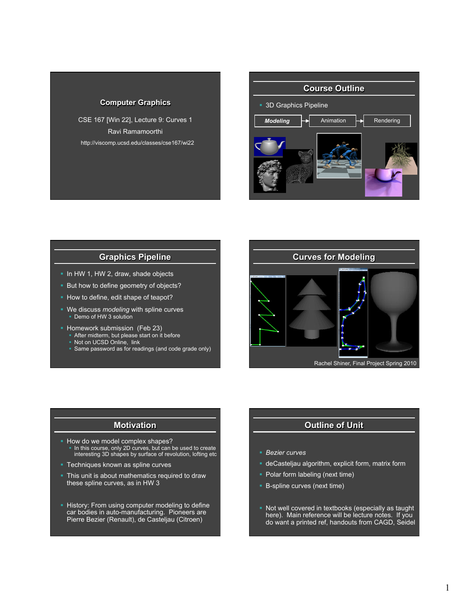#### **Computer Graphics**

CSE 167 [Win 22], Lecture 9: Curves 1 Ravi Ramamoorthi http://viscomp.ucsd.edu/classes/cse167/wi22



## **Graphics Pipeline**

- § In HW 1, HW 2, draw, shade objects
- **But how to define geometry of objects?**
- How to define, edit shape of teapot?
- § We discuss *modeling* with spline curves ■ Demo of HW 3 solution
- § Homework submission (Feb 23)
	- After midterm, but please start on it before
	- Not on UCSD Online, link
	- Same password as for readings (and code grade only)



#### **Motivation**

- § How do we model complex shapes? • In this course, only 2D curves, but can be used to create interesting 3D shapes by surface of revolution, lofting etc
- Techniques known as spline curves
- **This unit is about mathematics required to draw** these spline curves, as in HW 3
- **History: From using computer modeling to define** car bodies in auto-manufacturing. Pioneers are Pierre Bezier (Renault), de Casteljau (Citroen)

# **Outline of Unit**

- § *Bezier curves*
- deCasteljau algorithm, explicit form, matrix form
- Polar form labeling (next time)
- B-spline curves (next time)
- § Not well covered in textbooks (especially as taught here). Main reference will be lecture notes. If you do want a printed ref, handouts from CAGD, Seidel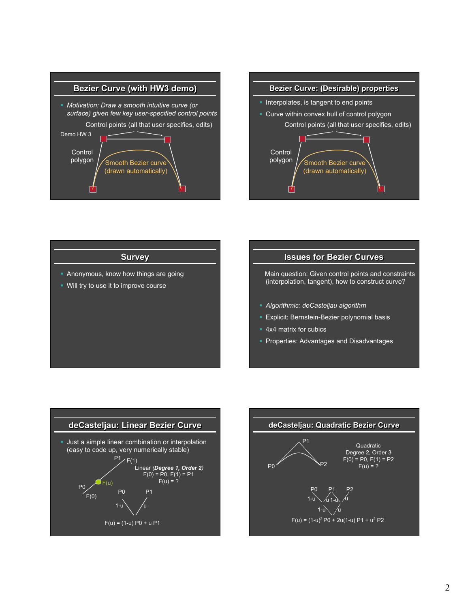



## **Survey**

- Anonymous, know how things are going
- § Will try to use it to improve course

## **Issues for Bezier Curves**

 Main question: Given control points and constraints (interpolation, tangent), how to construct curve?

- § *Algorithmic: deCasteljau algorithm*
- Explicit: Bernstein-Bezier polynomial basis
- 4x4 matrix for cubics
- Properties: Advantages and Disadvantages



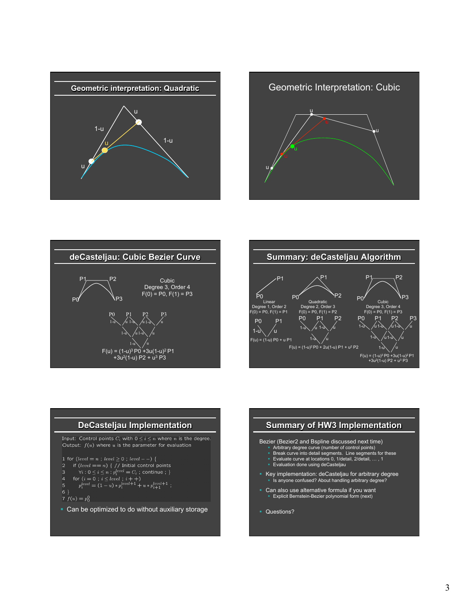









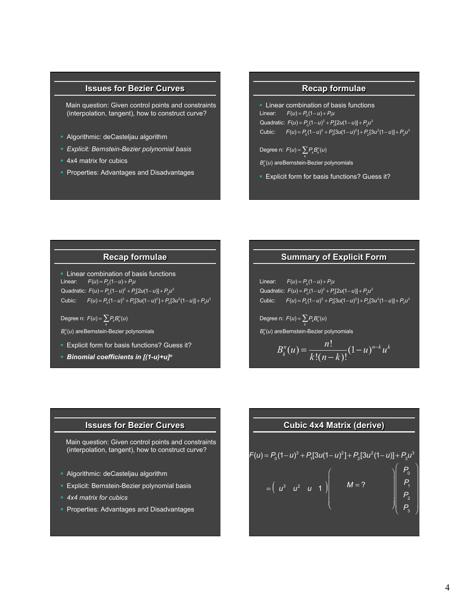# **Issues for Bezier Curves**

 Main question: Given control points and constraints (interpolation, tangent), how to construct curve?

- § Algorithmic: deCasteljau algorithm
- § *Explicit: Bernstein-Bezier polynomial basis*
- 4x4 matrix for cubics
- Properties: Advantages and Disadvantages

# **Recap formulae**

**Example 2** Linear combination of basis functions  $Linear:$   $F(u) = P_{0}(1-u) + P_{1}u$ Quadratic:  $F(u) = P_{0}(1-u)^{2} + P_{1}[2u(1-u)] + P_{2}u^{2}$ Cubic:  $F(u) = P_0(1 - u)^3 + P_1[3u(1 - u)^2] + P_2[3u^2(1 - u)] + P_3u^3$ 

Degree n:  $F(u) = \sum P_k B_k^n(u)$ 

- *k*  $B_{k}^{n}(u)$  areBernstein-Bezier polynomials
- **Explicit form for basis functions? Guess it?**

### **Recap formulae**

**Example 2** Linear combination of basis functions  $Linear: F(u) = P_0(1-u) + P_1u$ Quadratic:  $F(u) = P_0(1-u)^2 + P_1[2u(1-u)] + P_2u^2$ Cubic:  $F(u) = P_0(1 - u)^3 + P_1[3u(1 - u)^2] + P_2[3u^2(1 - u)] + P_3u^3$ 

Degree n:  $F(u) = \sum P_k B_k^n(u)$ 

- *k*  $B_{k}^{n}(u)$  areBernstein-Bezier polynomials
- Explicit form for basis functions? Guess it?
- § *Binomial coefficients in [(1-u)+u]n*

# **Summary of Explicit Form**

 $Linear:$   $F(u) = P_0(1-u) + P_1u$ Quadratic:  $F(u) = P_0(1-u)^2 + P_1[2u(1-u)] + P_2u^2$ Cubic:  $F(u) = P_0(1 - u)^3 + P_1[3u(1 - u)^2] + P_2[3u^2(1 - u)] + P_3u^3$ 

Degree n:  $F(u) = \sum P_k B_k^n(u)$ *k*

 $B_{k}^{n}(u)$  areBernstein-Bezier polynomials

$$
B_k^n(u) = \frac{n!}{k!(n-k)!} (1-u)^{n-k} u^k
$$

#### **Issues for Bezier Curves**

 Main question: Given control points and constraints (interpolation, tangent), how to construct curve?

- Algorithmic: deCasteljau algorithm
- **Explicit: Bernstein-Bezier polynomial basis**
- § *4x4 matrix for cubics*
- § Properties: Advantages and Disadvantages

#### **Cubic 4x4 Matrix (derive)**

$$
F(u) = P_0 (1 - u)^3 + P_1 [3u(1 - u)^2] + P_2 [3u^2(1 - u)] + P_3 u^3
$$
  
=  $\begin{pmatrix} u^3 & u^2 & u & 1 \end{pmatrix} \begin{pmatrix} M = ? \\ M = ? \end{pmatrix} \begin{pmatrix} P_0 \\ P_1 \\ P_2 \\ P_3 \end{pmatrix}$